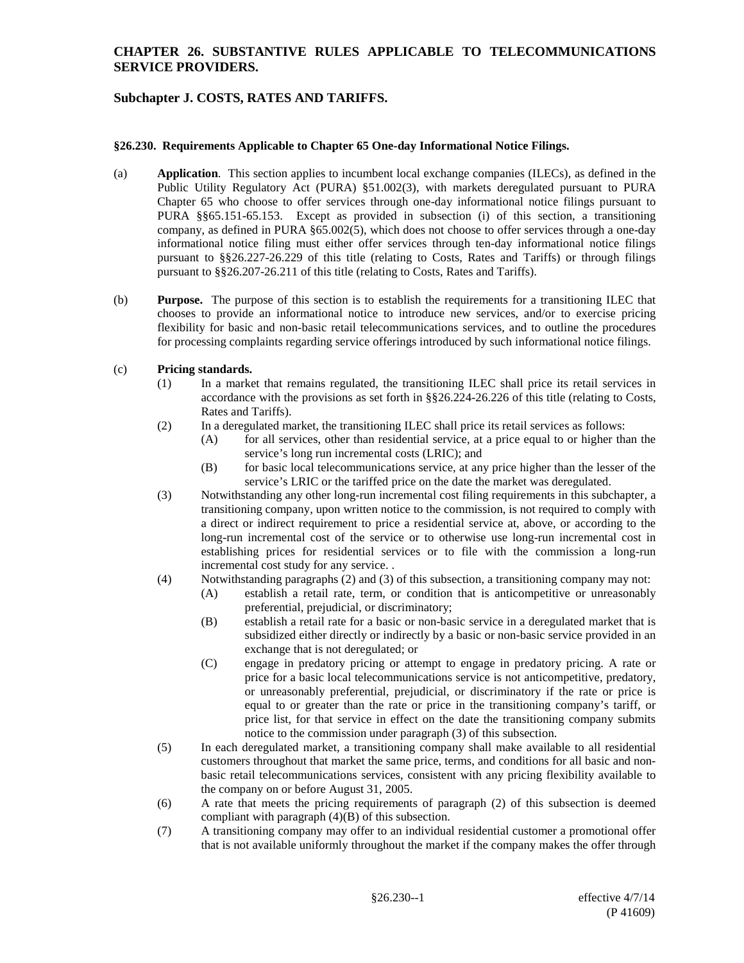### **CHAPTER 26. SUBSTANTIVE RULES APPLICABLE TO TELECOMMUNICATIONS SERVICE PROVIDERS.**

# **Subchapter J. COSTS, RATES AND TARIFFS.**

#### **§26.230. Requirements Applicable to Chapter 65 One-day Informational Notice Filings.**

- (a) **Application**. This section applies to incumbent local exchange companies (ILECs), as defined in the Public Utility Regulatory Act (PURA) §51.002(3), with markets deregulated pursuant to PURA Chapter 65 who choose to offer services through one-day informational notice filings pursuant to PURA §§65.151-65.153. Except as provided in subsection (i) of this section, a transitioning company, as defined in PURA §65.002(5), which does not choose to offer services through a one-day informational notice filing must either offer services through ten-day informational notice filings pursuant to §§26.227-26.229 of this title (relating to Costs, Rates and Tariffs) or through filings pursuant to §§26.207-26.211 of this title (relating to Costs, Rates and Tariffs).
- (b) **Purpose.** The purpose of this section is to establish the requirements for a transitioning ILEC that chooses to provide an informational notice to introduce new services, and/or to exercise pricing flexibility for basic and non-basic retail telecommunications services, and to outline the procedures for processing complaints regarding service offerings introduced by such informational notice filings.

#### (c) **Pricing standards.**

- (1) In a market that remains regulated, the transitioning ILEC shall price its retail services in accordance with the provisions as set forth in §§26.224-26.226 of this title (relating to Costs, Rates and Tariffs).
- (2) In a deregulated market, the transitioning ILEC shall price its retail services as follows:
	- (A) for all services, other than residential service, at a price equal to or higher than the service's long run incremental costs (LRIC); and
	- (B) for basic local telecommunications service, at any price higher than the lesser of the service's LRIC or the tariffed price on the date the market was deregulated.
- (3) Notwithstanding any other long-run incremental cost filing requirements in this subchapter, a transitioning company, upon written notice to the commission, is not required to comply with a direct or indirect requirement to price a residential service at, above, or according to the long-run incremental cost of the service or to otherwise use long-run incremental cost in establishing prices for residential services or to file with the commission a long-run incremental cost study for any service. .
- (4) Notwithstanding paragraphs (2) and (3) of this subsection, a transitioning company may not:
	- (A) establish a retail rate, term, or condition that is anticompetitive or unreasonably preferential, prejudicial, or discriminatory;
	- (B) establish a retail rate for a basic or non-basic service in a deregulated market that is subsidized either directly or indirectly by a basic or non-basic service provided in an exchange that is not deregulated; or
	- (C) engage in predatory pricing or attempt to engage in predatory pricing. A rate or price for a basic local telecommunications service is not anticompetitive, predatory, or unreasonably preferential, prejudicial, or discriminatory if the rate or price is equal to or greater than the rate or price in the transitioning company's tariff, or price list, for that service in effect on the date the transitioning company submits notice to the commission under paragraph (3) of this subsection.
- (5) In each deregulated market, a transitioning company shall make available to all residential customers throughout that market the same price, terms, and conditions for all basic and nonbasic retail telecommunications services, consistent with any pricing flexibility available to the company on or before August 31, 2005.
- (6) A rate that meets the pricing requirements of paragraph (2) of this subsection is deemed compliant with paragraph (4)(B) of this subsection.
- (7) A transitioning company may offer to an individual residential customer a promotional offer that is not available uniformly throughout the market if the company makes the offer through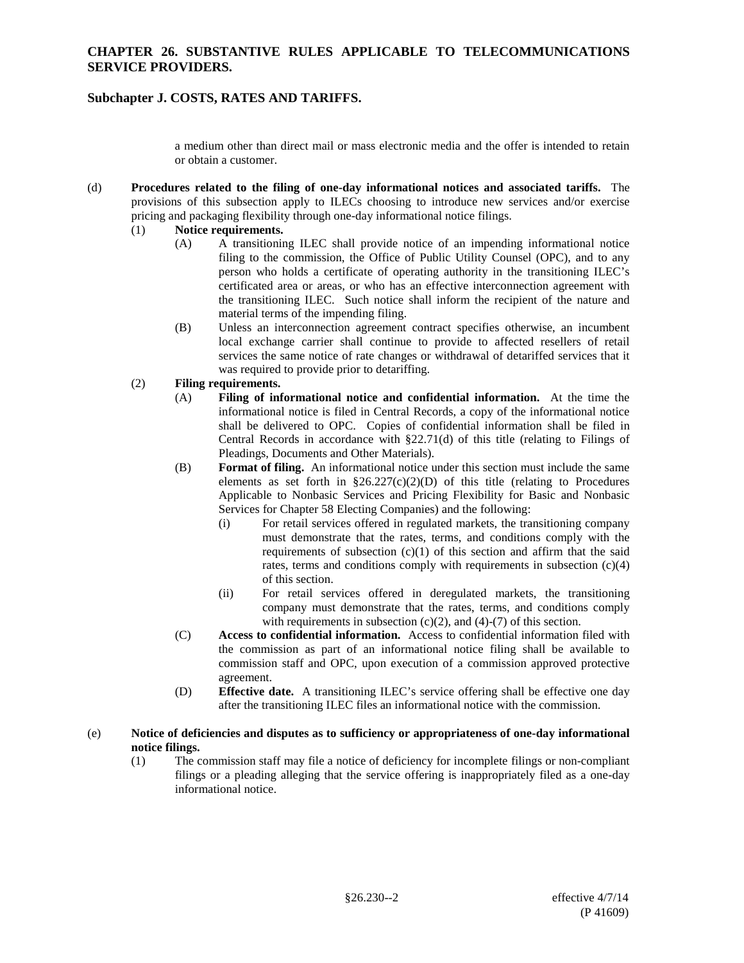### **CHAPTER 26. SUBSTANTIVE RULES APPLICABLE TO TELECOMMUNICATIONS SERVICE PROVIDERS.**

## **Subchapter J. COSTS, RATES AND TARIFFS.**

a medium other than direct mail or mass electronic media and the offer is intended to retain or obtain a customer.

- (d) **Procedures related to the filing of one-day informational notices and associated tariffs.** The provisions of this subsection apply to ILECs choosing to introduce new services and/or exercise pricing and packaging flexibility through one-day informational notice filings.
	- (1) **Notice requirements.**
		- (A) A transitioning ILEC shall provide notice of an impending informational notice filing to the commission, the Office of Public Utility Counsel (OPC), and to any person who holds a certificate of operating authority in the transitioning ILEC's certificated area or areas, or who has an effective interconnection agreement with the transitioning ILEC. Such notice shall inform the recipient of the nature and material terms of the impending filing.
		- (B) Unless an interconnection agreement contract specifies otherwise, an incumbent local exchange carrier shall continue to provide to affected resellers of retail services the same notice of rate changes or withdrawal of detariffed services that it was required to provide prior to detariffing.

### (2) **Filing requirements.**

- (A) **Filing of informational notice and confidential information.** At the time the informational notice is filed in Central Records, a copy of the informational notice shall be delivered to OPC. Copies of confidential information shall be filed in Central Records in accordance with §22.71(d) of this title (relating to Filings of Pleadings, Documents and Other Materials).
- (B) **Format of filing.** An informational notice under this section must include the same elements as set forth in  $\S26.227(c)(2)(D)$  of this title (relating to Procedures Applicable to Nonbasic Services and Pricing Flexibility for Basic and Nonbasic Services for Chapter 58 Electing Companies) and the following:
	- (i) For retail services offered in regulated markets, the transitioning company must demonstrate that the rates, terms, and conditions comply with the requirements of subsection  $(c)(1)$  of this section and affirm that the said rates, terms and conditions comply with requirements in subsection (c)(4) of this section.
	- (ii) For retail services offered in deregulated markets, the transitioning company must demonstrate that the rates, terms, and conditions comply with requirements in subsection  $(c)(2)$ , and  $(4)-(7)$  of this section.
- (C) **Access to confidential information.** Access to confidential information filed with the commission as part of an informational notice filing shall be available to commission staff and OPC, upon execution of a commission approved protective agreement.
- (D) **Effective date.** A transitioning ILEC's service offering shall be effective one day after the transitioning ILEC files an informational notice with the commission.

#### (e) **Notice of deficiencies and disputes as to sufficiency or appropriateness of one-day informational notice filings.**

(1) The commission staff may file a notice of deficiency for incomplete filings or non-compliant filings or a pleading alleging that the service offering is inappropriately filed as a one-day informational notice.